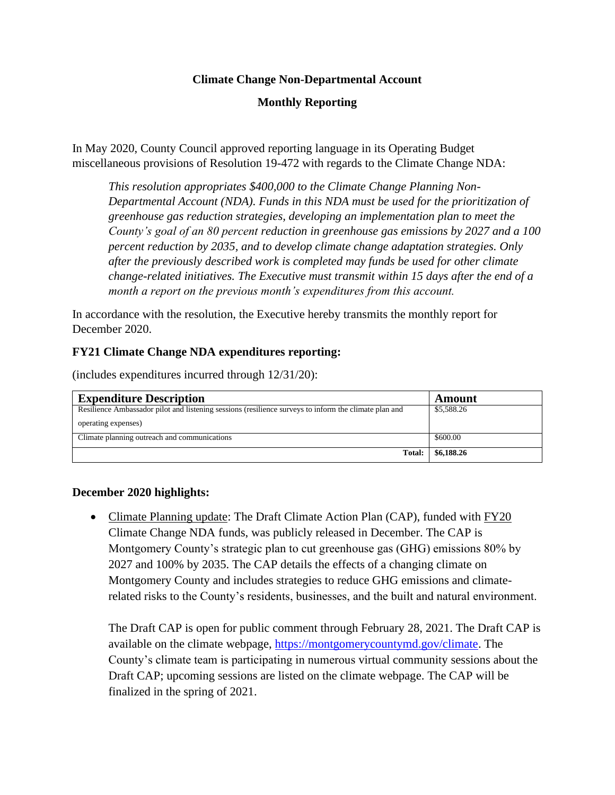## **Climate Change Non-Departmental Account**

# **Monthly Reporting**

In May 2020, County Council approved reporting language in its Operating Budget miscellaneous provisions of Resolution 19-472 with regards to the Climate Change NDA:

*This resolution appropriates \$400,000 to the Climate Change Planning Non-Departmental Account (NDA). Funds in this NDA must be used for the prioritization of greenhouse gas reduction strategies, developing an implementation plan to meet the County's goal of an 80 percent reduction in greenhouse gas emissions by 2027 and a 100 percent reduction by 2035, and to develop climate change adaptation strategies. Only after the previously described work is completed may funds be used for other climate change-related initiatives. The Executive must transmit within 15 days after the end of a month a report on the previous month's expenditures from this account.*

In accordance with the resolution, the Executive hereby transmits the monthly report for December 2020.

## **FY21 Climate Change NDA expenditures reporting:**

(includes expenditures incurred through 12/31/20):

| <b>Expenditure Description</b>                                                                        | Amount     |
|-------------------------------------------------------------------------------------------------------|------------|
| Resilience Ambassador pilot and listening sessions (resilience surveys to inform the climate plan and | \$5,588.26 |
| operating expenses)                                                                                   |            |
| Climate planning outreach and communications                                                          | \$600.00   |
| Total:                                                                                                | \$6,188.26 |

### **December 2020 highlights:**

• Climate Planning update: The Draft Climate Action Plan (CAP), funded with FY20 Climate Change NDA funds, was publicly released in December. The CAP is Montgomery County's strategic plan to cut greenhouse gas (GHG) emissions 80% by 2027 and 100% by 2035. The CAP details the effects of a changing climate on Montgomery County and includes strategies to reduce GHG emissions and climaterelated risks to the County's residents, businesses, and the built and natural environment.

The Draft CAP is open for public comment through February 28, 2021. The Draft CAP is available on the climate webpage, [https://montgomerycountymd.gov/climate.](https://montgomerycountymd.gov/climate) The County's climate team is participating in numerous virtual community sessions about the Draft CAP; upcoming sessions are listed on the climate webpage. The CAP will be finalized in the spring of 2021.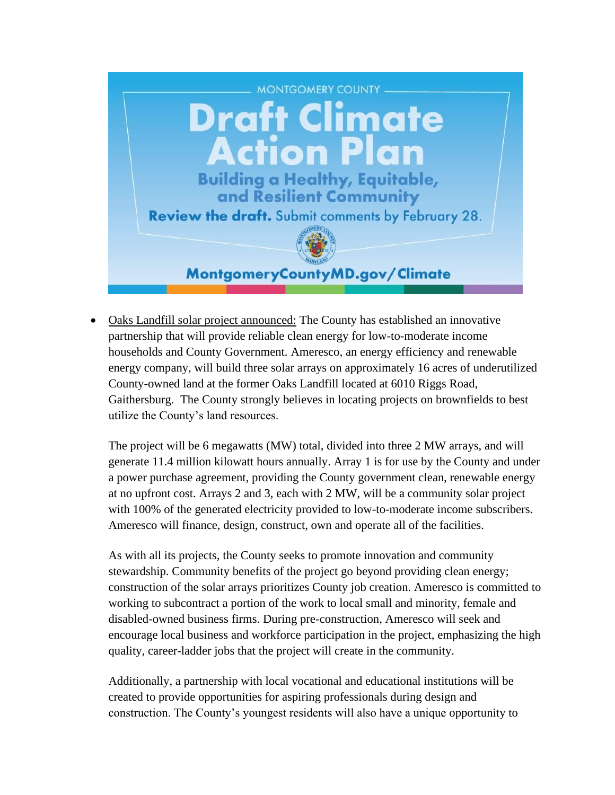

• Oaks Landfill solar project announced: The County has established an innovative partnership that will provide reliable clean energy for low-to-moderate income households and County Government. Ameresco, an energy efficiency and renewable energy company, will build three solar arrays on approximately 16 acres of underutilized County-owned land at the former Oaks Landfill located at 6010 Riggs Road, Gaithersburg. The County strongly believes in locating projects on brownfields to best utilize the County's land resources.

The project will be 6 megawatts (MW) total, divided into three 2 MW arrays, and will generate 11.4 million kilowatt hours annually. Array 1 is for use by the County and under a power purchase agreement, providing the County government clean, renewable energy at no upfront cost. Arrays 2 and 3, each with 2 MW, will be a community solar project with 100% of the generated electricity provided to low-to-moderate income subscribers. Ameresco will finance, design, construct, own and operate all of the facilities.

As with all its projects, the County seeks to promote innovation and community stewardship. Community benefits of the project go beyond providing clean energy; construction of the solar arrays prioritizes County job creation. Ameresco is committed to working to subcontract a portion of the work to local small and minority, female and disabled-owned business firms. During pre-construction, Ameresco will seek and encourage local business and workforce participation in the project, emphasizing the high quality, career-ladder jobs that the project will create in the community.

Additionally, a partnership with local vocational and educational institutions will be created to provide opportunities for aspiring professionals during design and construction. The County's youngest residents will also have a unique opportunity to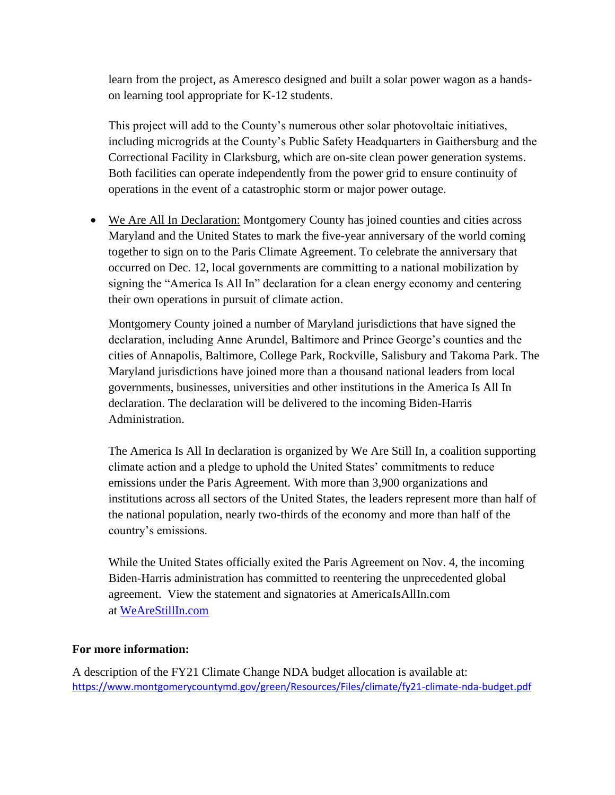learn from the project, as Ameresco designed and built a solar power wagon as a handson learning tool appropriate for K-12 students.

This project will add to the County's numerous other solar photovoltaic initiatives, including microgrids at the County's Public Safety Headquarters in Gaithersburg and the Correctional Facility in Clarksburg, which are on-site clean power generation systems. Both facilities can operate independently from the power grid to ensure continuity of operations in the event of a catastrophic storm or major power outage.

• We Are All In Declaration: Montgomery County has joined counties and cities across Maryland and the United States to mark the five-year anniversary of the world coming together to sign on to the Paris Climate Agreement. To celebrate the anniversary that occurred on Dec. 12, local governments are committing to a national mobilization by signing the "America Is All In" declaration for a clean energy economy and centering their own operations in pursuit of climate action.

Montgomery County joined a number of Maryland jurisdictions that have signed the declaration, including Anne Arundel, Baltimore and Prince George's counties and the cities of Annapolis, Baltimore, College Park, Rockville, Salisbury and Takoma Park. The Maryland jurisdictions have joined more than a thousand national leaders from local governments, businesses, universities and other institutions in the America Is All In declaration. The declaration will be delivered to the incoming Biden-Harris Administration.

The America Is All In declaration is organized by We Are Still In, a coalition supporting climate action and a pledge to uphold the United States' commitments to reduce emissions under the Paris Agreement. With more than 3,900 organizations and institutions across all sectors of the United States, the leaders represent more than half of the national population, nearly two-thirds of the economy and more than half of the country's emissions.

While the United States officially exited the Paris Agreement on Nov. 4, the incoming Biden-Harris administration has committed to reentering the unprecedented global agreement. View the statement and signatories at AmericaIsAllIn.com at [WeAreStillIn.com](https://gcc02.safelinks.protection.outlook.com/?url=http%3A%2F%2Fwww.wearestillin.com%2F&data=04%7C01%7CNeil.Greenberger%40montgomerycountymd.gov%7C299ef9e7dbd64ef5d55e08d8a75cf49c%7C6e01b1f9b1e54073ac97778069a0ad64%7C0%7C0%7C637443364979069887%7CUnknown%7CTWFpbGZsb3d8eyJWIjoiMC4wLjAwMDAiLCJQIjoiV2luMzIiLCJBTiI6Ik1haWwiLCJXVCI6Mn0%3D%7C1000&sdata=iL5Mlnauor1IZoeGgjxj912NjtVqT%2BAye%2FIVrCoXkuU%3D&reserved=0)

### **For more information:**

A description of the FY21 Climate Change NDA budget allocation is available at: <https://www.montgomerycountymd.gov/green/Resources/Files/climate/fy21-climate-nda-budget.pdf>